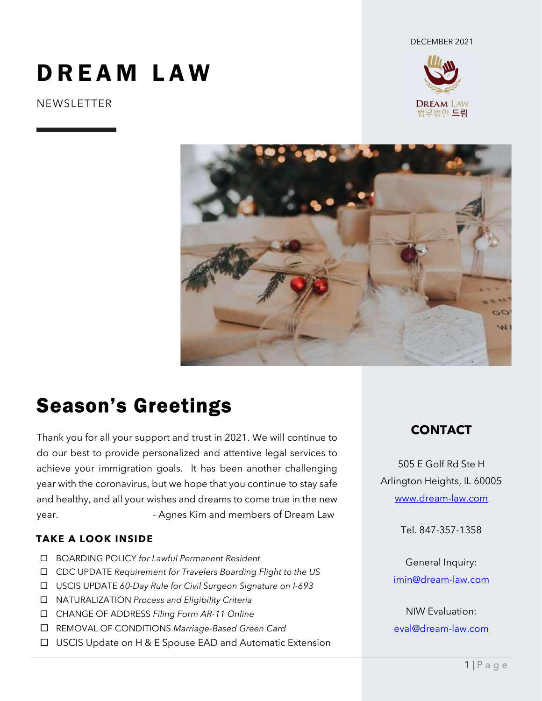DECEMBER 2021

# DREAM LAW

**NEWSLETTER** 





# Season's Greetings

Thank you for all your support and trust in 2021. We will continue to do our best to provide personalized and attentive legal services to achieve your immigration goals. It has been another challenging year with the coronavirus, but we hope that you continue to stay safe and healthy, and all your wishes and dreams to come true in the new year. The Supers Communist Communist Communist Communist Communist Communist Communist Communist Communist Communist Communist Communist Communist Communist Communist Communist Communist Communist Communist Communist Commu

#### TAKE A LOOK INSIDE

- □ BOARDING POLICY for Lawful Permanent Resident
- CDC UPDATE Requirement for Travelers Boarding Flight to the US
- □ USCIS UPDATE 60-Day Rule for Civil Surgeon Signature on I-693
- NATURALIZATION Process and Eligibility Criteria
- CHANGE OF ADDRESS Filing Form AR-11 Online
- REMOVAL OF CONDITIONS Marriage-Based Green Card
- □ USCIS Update on H & E Spouse EAD and Automatic Extension

### CONTACT

505 E Golf Rd Ste H Arlington Heights, IL 60005 www.dream-law.com

Tel. 847-357-1358

General Inquiry: imin@dream-law.com

NIW Evaluation: eval@dream-law.com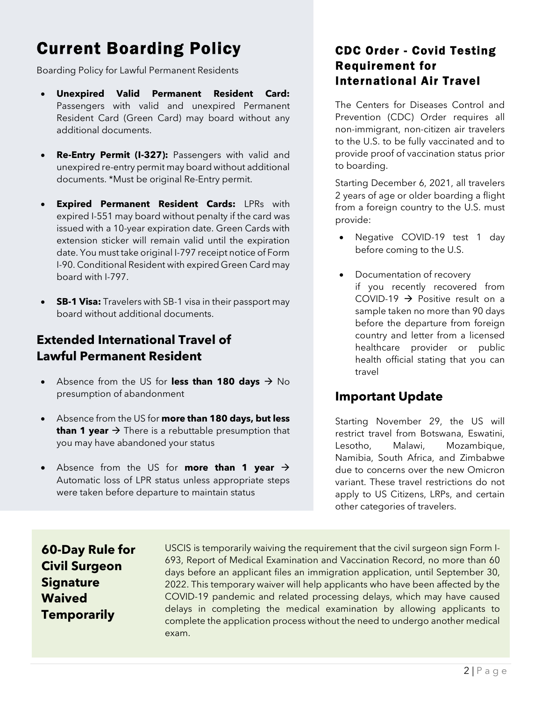### Current Boarding Policy

Boarding Policy for Lawful Permanent Residents

- Unexpired Valid Permanent Resident Card: Passengers with valid and unexpired Permanent Resident Card (Green Card) may board without any additional documents.
- Re-Entry Permit (I-327): Passengers with valid and unexpired re-entry permit may board without additional documents. \*Must be original Re-Entry permit.
- Expired Permanent Resident Cards: LPRs with expired I-551 may board without penalty if the card was issued with a 10-year expiration date. Green Cards with extension sticker will remain valid until the expiration date. You must take original I-797 receipt notice of Form I-90. Conditional Resident with expired Green Card may board with I-797.
- **SB-1 Visa:** Travelers with SB-1 visa in their passport may board without additional documents.

#### Extended International Travel of Lawful Permanent Resident

- Absence from the US for less than 180 days  $\rightarrow$  No presumption of abandonment
- Absence from the US for more than 180 days, but less than 1 year  $\rightarrow$  There is a rebuttable presumption that you may have abandoned your status
- Absence from the US for **more than 1 year**  $\rightarrow$ Automatic loss of LPR status unless appropriate steps were taken before departure to maintain status

#### CDC Order - Covid Testing Requirement for International Air Travel

The Centers for Diseases Control and Prevention (CDC) Order requires all non-immigrant, non-citizen air travelers to the U.S. to be fully vaccinated and to provide proof of vaccination status prior to boarding.

Starting December 6, 2021, all travelers 2 years of age or older boarding a flight from a foreign country to the U.S. must provide:

- Negative COVID-19 test 1 day before coming to the U.S.
- Documentation of recovery if you recently recovered from COVID-19  $\rightarrow$  Positive result on a sample taken no more than 90 days before the departure from foreign country and letter from a licensed healthcare provider or public health official stating that you can travel

#### Important Update

Starting November 29, the US will restrict travel from Botswana, Eswatini, Lesotho, Malawi, Mozambique, Namibia, South Africa, and Zimbabwe due to concerns over the new Omicron variant. These travel restrictions do not apply to US Citizens, LRPs, and certain other categories of travelers.

60-Day Rule for Civil Surgeon **Signature** Waived **Temporarily** 

USCIS is temporarily waiving the requirement that the civil surgeon sign Form I-693, Report of Medical Examination and Vaccination Record, no more than 60 days before an applicant files an immigration application, until September 30, 2022. This temporary waiver will help applicants who have been affected by the COVID-19 pandemic and related processing delays, which may have caused delays in completing the medical examination by allowing applicants to complete the application process without the need to undergo another medical exam.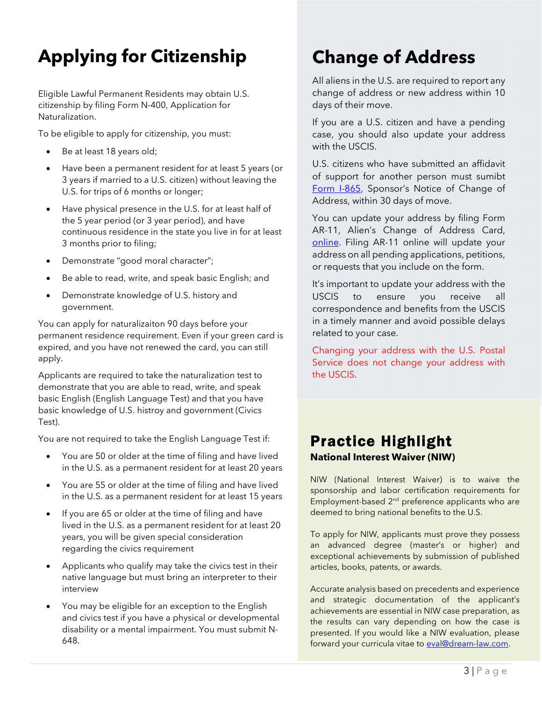## Applying for Citizenship

Eligible Lawful Permanent Residents may obtain U.S. citizenship by filing Form N-400, Application for Naturalization.

To be eligible to apply for citizenship, you must:

- Be at least 18 years old;
- Have been a permanent resident for at least 5 years (or 3 years if married to a U.S. citizen) without leaving the U.S. for trips of 6 months or longer;
- Have physical presence in the U.S. for at least half of the 5 year period (or 3 year period), and have continuous residence in the state you live in for at least 3 months prior to filing;
- Demonstrate "good moral character";
- Be able to read, write, and speak basic English; and
- Demonstrate knowledge of U.S. history and government.

You can apply for naturalizaiton 90 days before your permanent residence requirement. Even if your green card is expired, and you have not renewed the card, you can still apply.

Applicants are required to take the naturalization test to demonstrate that you are able to read, write, and speak basic English (English Language Test) and that you have basic knowledge of U.S. histroy and government (Civics Test).

You are not required to take the English Language Test if:

- You are 50 or older at the time of filing and have lived in the U.S. as a permanent resident for at least 20 years
- You are 55 or older at the time of filing and have lived in the U.S. as a permanent resident for at least 15 years
- If you are 65 or older at the time of filing and have lived in the U.S. as a permanent resident for at least 20 years, you will be given special consideration regarding the civics requirement
- Applicants who qualify may take the civics test in their native language but must bring an interpreter to their interview
- You may be eligible for an exception to the English and civics test if you have a physical or developmental disability or a mental impairment. You must submit N-648.

## Change of Address

All aliens in the U.S. are required to report any change of address or new address within 10 days of their move.

If you are a U.S. citizen and have a pending case, you should also update your address with the USCIS.

U.S. citizens who have submitted an affidavit of support for another person must sumibt [Form I-865,](https://www.uscis.gov/i-865) Sponsor's Notice of Change of Address, within 30 days of move.

You can update your address by filing Form AR-11, Alien's Change of Address Card, [online.](https://egov.uscis.gov/coa/displayCOAForm.do) Filing AR-11 online will update your address on all pending applications, petitions, or requests that you include on the form.

It's important to update your address with the USCIS to ensure you receive all correspondence and benefits from the USCIS in a timely manner and avoid possible delays related to your case.

Changing your address with the U.S. Postal Service does not change your address with the USCIS.

### Practice Highlight National Interest Waiver (NIW)

NIW (National Interest Waiver) is to waive the sponsorship and labor certification requirements for Employment-based 2<sup>nd</sup> preference applicants who are deemed to bring national benefits to the U.S.

To apply for NIW, applicants must prove they possess an advanced degree (master's or higher) and exceptional achievements by submission of published articles, books, patents, or awards.

Accurate analysis based on precedents and experience and strategic documentation of the applicant's achievements are essential in NIW case preparation, as the results can vary depending on how the case is presented. If you would like a NIW evaluation, please forward your curricula vitae to eval@dream-law.com.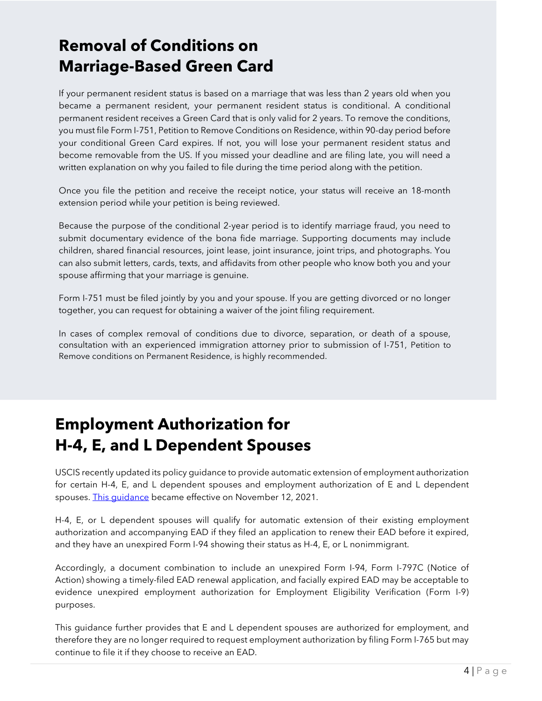### Removal of Conditions on Marriage-Based Green Card

If your permanent resident status is based on a marriage that was less than 2 years old when you became a permanent resident, your permanent resident status is conditional. A conditional permanent resident receives a Green Card that is only valid for 2 years. To remove the conditions, you must file Form I-751, Petition to Remove Conditions on Residence, within 90-day period before your conditional Green Card expires. If not, you will lose your permanent resident status and become removable from the US. If you missed your deadline and are filing late, you will need a written explanation on why you failed to file during the time period along with the petition.

Once you file the petition and receive the receipt notice, your status will receive an 18-month extension period while your petition is being reviewed.

Because the purpose of the conditional 2-year period is to identify marriage fraud, you need to submit documentary evidence of the bona fide marriage. Supporting documents may include children, shared financial resources, joint lease, joint insurance, joint trips, and photographs. You can also submit letters, cards, texts, and affidavits from other people who know both you and your spouse affirming that your marriage is genuine.

Form I-751 must be filed jointly by you and your spouse. If you are getting divorced or no longer together, you can request for obtaining a waiver of the joint filing requirement.

In cases of complex removal of conditions due to divorce, separation, or death of a spouse, consultation with an experienced immigration attorney prior to submission of I-751, Petition to Remove conditions on Permanent Residence, is highly recommended.

### Employment Authorization for H-4, E, and L Dependent Spouses

USCIS recently updated its policy guidance to provide automatic extension of employment authorization for certain H-4, E, and L dependent spouses and employment authorization of E and L dependent spouses. This quidance became effective on November 12, 2021.

H-4, E, or L dependent spouses will qualify for automatic extension of their existing employment authorization and accompanying EAD if they filed an application to renew their EAD before it expired, and they have an unexpired Form I-94 showing their status as H-4, E, or L nonimmigrant.

Accordingly, a document combination to include an unexpired Form I-94, Form I-797C (Notice of Action) showing a timely-filed EAD renewal application, and facially expired EAD may be acceptable to evidence unexpired employment authorization for Employment Eligibility Verification (Form I-9) purposes.

This guidance further provides that E and L dependent spouses are authorized for employment, and therefore they are no longer required to request employment authorization by filing Form I-765 but may continue to file it if they choose to receive an EAD.